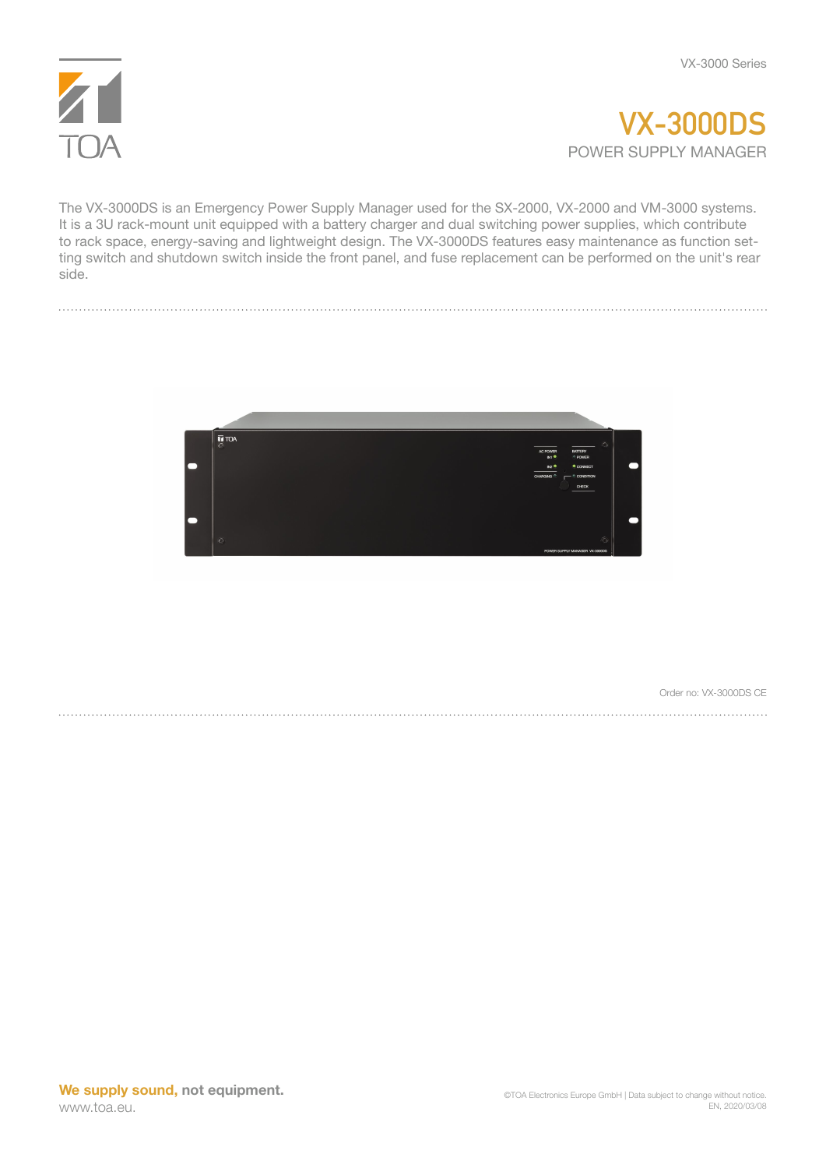



The VX-3000DS is an Emergency Power Supply Manager used for the SX-2000, VX-2000 and VM-3000 systems. It is a 3U rack-mount unit equipped with a battery charger and dual switching power supplies, which contribute to rack space, energy-saving and lightweight design. The VX-3000DS features easy maintenance as function setting switch and shutdown switch inside the front panel, and fuse replacement can be performed on the unit's rear side.



Order no: VX-3000DS CE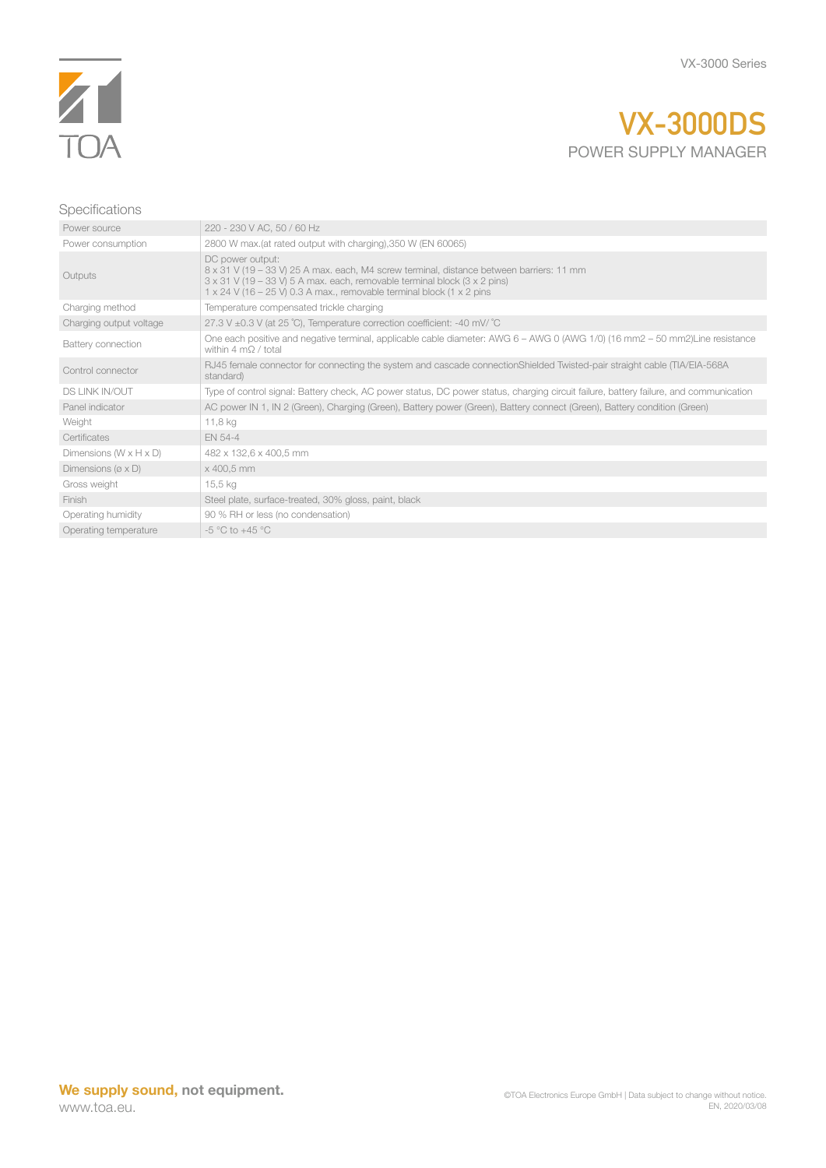

## **VX-3000DS** POWER SUPPLY MANAGER

## Specifications

| Power source                          | 220 - 230 V AC, 50 / 60 Hz                                                                                                                                                                                                                                                               |
|---------------------------------------|------------------------------------------------------------------------------------------------------------------------------------------------------------------------------------------------------------------------------------------------------------------------------------------|
| Power consumption                     | 2800 W max.(at rated output with charging), 350 W (EN 60065)                                                                                                                                                                                                                             |
| Outputs                               | DC power output:<br>8 x 31 V (19 - 33 V) 25 A max. each, M4 screw terminal, distance between barriers: 11 mm<br>$3 \times 31$ V (19 – 33 V) 5 A max. each, removable terminal block ( $3 \times 2$ pins)<br>$1 \times 24$ V (16 – 25 V) 0.3 A max., removable terminal block (1 x 2 pins |
| Charging method                       | Temperature compensated trickle charging                                                                                                                                                                                                                                                 |
| Charging output voltage               | 27.3 V $\pm$ 0.3 V (at 25 °C), Temperature correction coefficient: -40 mV/ °C                                                                                                                                                                                                            |
| Battery connection                    | One each positive and negative terminal, applicable cable diameter: AWG 6 – AWG 0 (AWG 1/0) (16 mm2 – 50 mm2)Line resistance<br>within $4 \text{ m}\Omega / \text{total}$                                                                                                                |
| Control connector                     | RJ45 female connector for connecting the system and cascade connectionShielded Twisted-pair straight cable (TIA/EIA-568A<br>standard)                                                                                                                                                    |
| <b>DS LINK IN/OUT</b>                 | Type of control signal: Battery check, AC power status, DC power status, charging circuit failure, battery failure, and communication                                                                                                                                                    |
| Panel indicator                       | AC power IN 1, IN 2 (Green), Charging (Green), Battery power (Green), Battery connect (Green), Battery condition (Green)                                                                                                                                                                 |
| Weight                                | 11,8 kg                                                                                                                                                                                                                                                                                  |
| Certificates                          | <b>EN 54-4</b>                                                                                                                                                                                                                                                                           |
| Dimensions $(W \times H \times D)$    | 482 x 132,6 x 400,5 mm                                                                                                                                                                                                                                                                   |
| Dimensions ( $\varnothing \times D$ ) | x 400.5 mm                                                                                                                                                                                                                                                                               |
| Gross weight                          | 15,5 kg                                                                                                                                                                                                                                                                                  |
| Finish                                | Steel plate, surface-treated, 30% gloss, paint, black                                                                                                                                                                                                                                    |
| Operating humidity                    | 90 % RH or less (no condensation)                                                                                                                                                                                                                                                        |
| Operating temperature                 | $-5$ °C to $+45$ °C                                                                                                                                                                                                                                                                      |